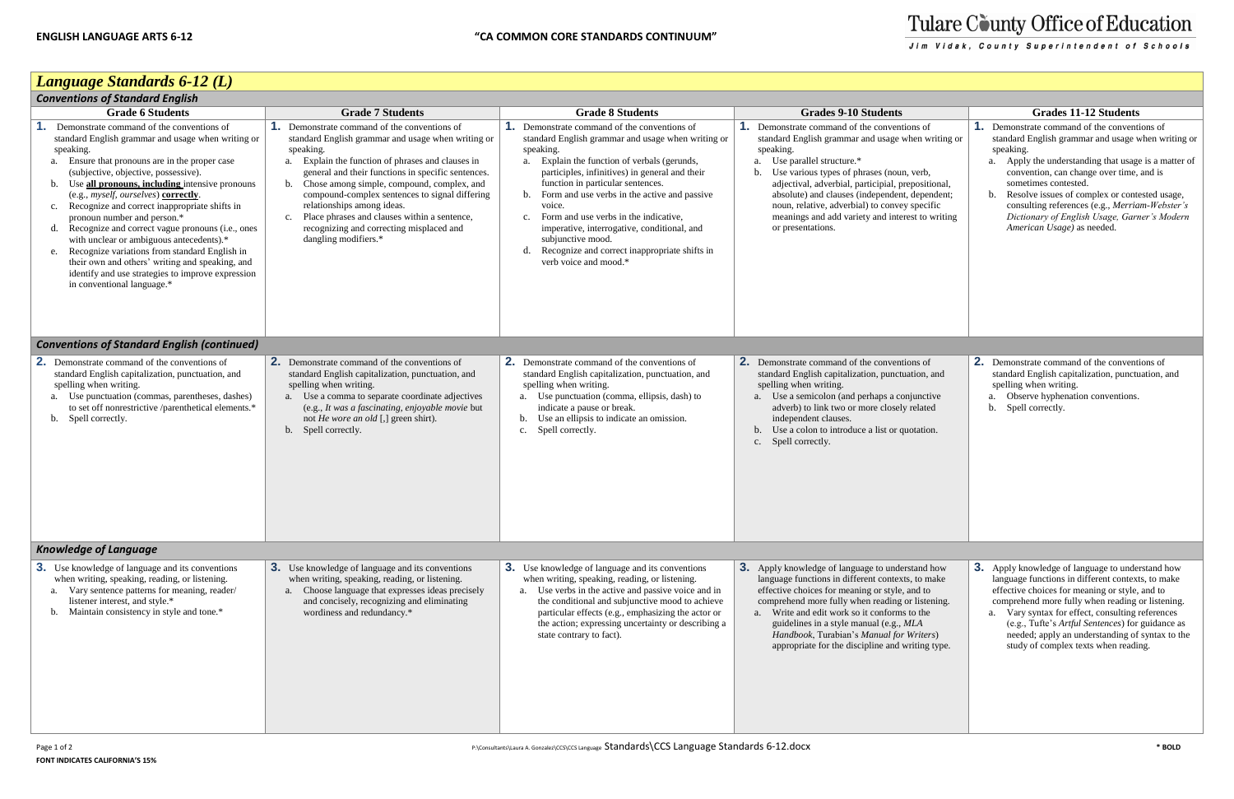

# Tulare County Office of Education

Jim Vidak, County Superintendent of Schools

## *Language Standards 6-12 (L)*

| <b>Conventions of Standard English</b>                                                                                                                                                                                                                                                                                                                                                                                                                                                                                                                                                                                                                                                          |                                                                                                                                                                                                                                                                                                                                                                                                                                                                                                 |                                                                                                                                                                                                                                                                                                                                                                                                                                                                                                                                        |                                                                                                                                                                                                                                                                                                                                                                                                                                         |                                                                                                                                                                                                                                                                                                                                                               |  |  |
|-------------------------------------------------------------------------------------------------------------------------------------------------------------------------------------------------------------------------------------------------------------------------------------------------------------------------------------------------------------------------------------------------------------------------------------------------------------------------------------------------------------------------------------------------------------------------------------------------------------------------------------------------------------------------------------------------|-------------------------------------------------------------------------------------------------------------------------------------------------------------------------------------------------------------------------------------------------------------------------------------------------------------------------------------------------------------------------------------------------------------------------------------------------------------------------------------------------|----------------------------------------------------------------------------------------------------------------------------------------------------------------------------------------------------------------------------------------------------------------------------------------------------------------------------------------------------------------------------------------------------------------------------------------------------------------------------------------------------------------------------------------|-----------------------------------------------------------------------------------------------------------------------------------------------------------------------------------------------------------------------------------------------------------------------------------------------------------------------------------------------------------------------------------------------------------------------------------------|---------------------------------------------------------------------------------------------------------------------------------------------------------------------------------------------------------------------------------------------------------------------------------------------------------------------------------------------------------------|--|--|
| <b>Grade 6 Students</b>                                                                                                                                                                                                                                                                                                                                                                                                                                                                                                                                                                                                                                                                         | <b>Grade 7 Students</b>                                                                                                                                                                                                                                                                                                                                                                                                                                                                         | <b>Grade 8 Students</b>                                                                                                                                                                                                                                                                                                                                                                                                                                                                                                                | <b>Grades 9-10 Students</b>                                                                                                                                                                                                                                                                                                                                                                                                             | <b>Grades 11-12 Students</b>                                                                                                                                                                                                                                                                                                                                  |  |  |
| Demonstrate command of the conventions of<br>standard English grammar and usage when writing or<br>speaking.<br>a. Ensure that pronouns are in the proper case<br>(subjective, objective, possessive).<br>Use all pronouns, including intensive pronouns<br>b.<br>(e.g., myself, ourselves) correctly.<br>Recognize and correct inappropriate shifts in<br>c.<br>pronoun number and person.*<br>Recognize and correct vague pronouns (i.e., ones<br>d.<br>with unclear or ambiguous antecedents).*<br>Recognize variations from standard English in<br>e.<br>their own and others' writing and speaking, and<br>identify and use strategies to improve expression<br>in conventional language.* | <b>1.</b> Demonstrate command of the conventions of<br>standard English grammar and usage when writing or<br>speaking.<br>a. Explain the function of phrases and clauses in<br>general and their functions in specific sentences.<br>Chose among simple, compound, complex, and<br>b.<br>compound-complex sentences to signal differing<br>relationships among ideas.<br>Place phrases and clauses within a sentence,<br>c.<br>recognizing and correcting misplaced and<br>dangling modifiers.* | <b>1.</b> Demonstrate command of the conventions of<br>standard English grammar and usage when writing or<br>speaking.<br>Explain the function of verbals (gerunds,<br>a.<br>participles, infinitives) in general and their<br>function in particular sentences.<br>Form and use verbs in the active and passive<br>b.<br>voice.<br>Form and use verbs in the indicative,<br>$c_{\cdot}$<br>imperative, interrogative, conditional, and<br>subjunctive mood.<br>Recognize and correct inappropriate shifts in<br>verb voice and mood.* | <b>1.</b> Demonstrate command of the conventions of<br>standard English grammar and usage when writing or<br>speaking.<br>a. Use parallel structure.*<br>b. Use various types of phrases (noun, verb,<br>adjectival, adverbial, participial, prepositional,<br>absolute) and clauses (independent, dependent;<br>noun, relative, adverbial) to convey specific<br>meanings and add variety and interest to writing<br>or presentations. | <b>1.</b> Demonstrate command of the convent<br>standard English grammar and usage v<br>speaking.<br>a. Apply the understanding that usage<br>convention, can change over time,<br>sometimes contested.<br>Resolve issues of complex or conte<br>b.<br>consulting references (e.g., Merria<br>Dictionary of English Usage, Gari<br>American Usage) as needed. |  |  |
| <b>Conventions of Standard English (continued)</b>                                                                                                                                                                                                                                                                                                                                                                                                                                                                                                                                                                                                                                              |                                                                                                                                                                                                                                                                                                                                                                                                                                                                                                 |                                                                                                                                                                                                                                                                                                                                                                                                                                                                                                                                        |                                                                                                                                                                                                                                                                                                                                                                                                                                         |                                                                                                                                                                                                                                                                                                                                                               |  |  |
| 2.<br>Demonstrate command of the conventions of<br>standard English capitalization, punctuation, and<br>spelling when writing.<br>a. Use punctuation (commas, parentheses, dashes)<br>to set off nonrestrictive /parenthetical elements.*<br>b. Spell correctly.                                                                                                                                                                                                                                                                                                                                                                                                                                | <b>2.</b> Demonstrate command of the conventions of<br>standard English capitalization, punctuation, and<br>spelling when writing.<br>a. Use a comma to separate coordinate adjectives<br>(e.g., It was a fascinating, enjoyable movie but<br>not He wore an old [,] green shirt).<br>b. Spell correctly.                                                                                                                                                                                       | <b>2.</b> Demonstrate command of the conventions of<br>standard English capitalization, punctuation, and<br>spelling when writing.<br>a. Use punctuation (comma, ellipsis, dash) to<br>indicate a pause or break.<br>Use an ellipsis to indicate an omission.<br>b.<br>Spell correctly.<br>c.                                                                                                                                                                                                                                          | 2. Demonstrate command of the conventions of<br>standard English capitalization, punctuation, and<br>spelling when writing.<br>a. Use a semicolon (and perhaps a conjunctive<br>adverb) to link two or more closely related<br>independent clauses.<br>b. Use a colon to introduce a list or quotation.<br>c. Spell correctly.                                                                                                          | <b>2.</b> Demonstrate command of the convent<br>standard English capitalization, punctu<br>spelling when writing.<br>a. Observe hyphenation conventions.<br>b. Spell correctly.                                                                                                                                                                               |  |  |
| <b>Knowledge of Language</b>                                                                                                                                                                                                                                                                                                                                                                                                                                                                                                                                                                                                                                                                    |                                                                                                                                                                                                                                                                                                                                                                                                                                                                                                 |                                                                                                                                                                                                                                                                                                                                                                                                                                                                                                                                        |                                                                                                                                                                                                                                                                                                                                                                                                                                         |                                                                                                                                                                                                                                                                                                                                                               |  |  |
| <b>3.</b> Use knowledge of language and its conventions<br>when writing, speaking, reading, or listening.<br>Vary sentence patterns for meaning, reader/<br>a.<br>listener interest, and style.*<br>Maintain consistency in style and tone.*<br>b.                                                                                                                                                                                                                                                                                                                                                                                                                                              | <b>3.</b> Use knowledge of language and its conventions<br>when writing, speaking, reading, or listening.<br>a. Choose language that expresses ideas precisely<br>and concisely, recognizing and eliminating<br>wordiness and redundancy.*                                                                                                                                                                                                                                                      | <b>3.</b> Use knowledge of language and its conventions<br>when writing, speaking, reading, or listening.<br>a. Use verbs in the active and passive voice and in<br>the conditional and subjunctive mood to achieve<br>particular effects (e.g., emphasizing the actor or<br>the action; expressing uncertainty or describing a<br>state contrary to fact).                                                                                                                                                                            | <b>3.</b> Apply knowledge of language to understand how<br>language functions in different contexts, to make<br>effective choices for meaning or style, and to<br>comprehend more fully when reading or listening.<br>a. Write and edit work so it conforms to the<br>guidelines in a style manual (e.g., MLA<br>Handbook, Turabian's Manual for Writers)<br>appropriate for the discipline and writing type.                           | <b>3.</b> Apply knowledge of language to unde<br>language functions in different context<br>effective choices for meaning or style,<br>comprehend more fully when reading<br>a. Vary syntax for effect, consulting<br>(e.g., Tufte's Artful Sentences) for<br>needed; apply an understanding of<br>study of complex texts when readi                          |  |  |

|                                                                                                   | <b>Grades 11-12 Students</b>                                                                                                                                                                                                                                                                                                                                                                                                             |  |  |  |  |  |
|---------------------------------------------------------------------------------------------------|------------------------------------------------------------------------------------------------------------------------------------------------------------------------------------------------------------------------------------------------------------------------------------------------------------------------------------------------------------------------------------------------------------------------------------------|--|--|--|--|--|
| ons of<br>hen writing or<br>, verb,<br>epositional,<br>, dependent;<br>specific<br>est to writing | 1.<br>Demonstrate command of the conventions of<br>standard English grammar and usage when writing or<br>speaking.<br>Apply the understanding that usage is a matter of<br>a.<br>convention, can change over time, and is<br>sometimes contested.<br>Resolve issues of complex or contested usage,<br>b.<br>consulting references (e.g., Merriam-Webster's<br>Dictionary of English Usage, Garner's Modern<br>American Usage) as needed. |  |  |  |  |  |
|                                                                                                   |                                                                                                                                                                                                                                                                                                                                                                                                                                          |  |  |  |  |  |
| ons of<br>ation, and<br>njunctive<br>related<br>iotation.                                         | 2. Demonstrate command of the conventions of<br>standard English capitalization, punctuation, and<br>spelling when writing.<br>Observe hyphenation conventions.<br>a.<br>Spell correctly.<br>b.                                                                                                                                                                                                                                          |  |  |  |  |  |
|                                                                                                   |                                                                                                                                                                                                                                                                                                                                                                                                                                          |  |  |  |  |  |
| stand how:<br>s, to make<br>and to<br>or listening.<br>to the<br>AL A<br>Writers)<br>riting type. | 3.<br>Apply knowledge of language to understand how<br>language functions in different contexts, to make<br>effective choices for meaning or style, and to<br>comprehend more fully when reading or listening.<br>Vary syntax for effect, consulting references<br>a.<br>(e.g., Tufte's Artful Sentences) for guidance as<br>needed; apply an understanding of syntax to the<br>study of complex texts when reading.                     |  |  |  |  |  |